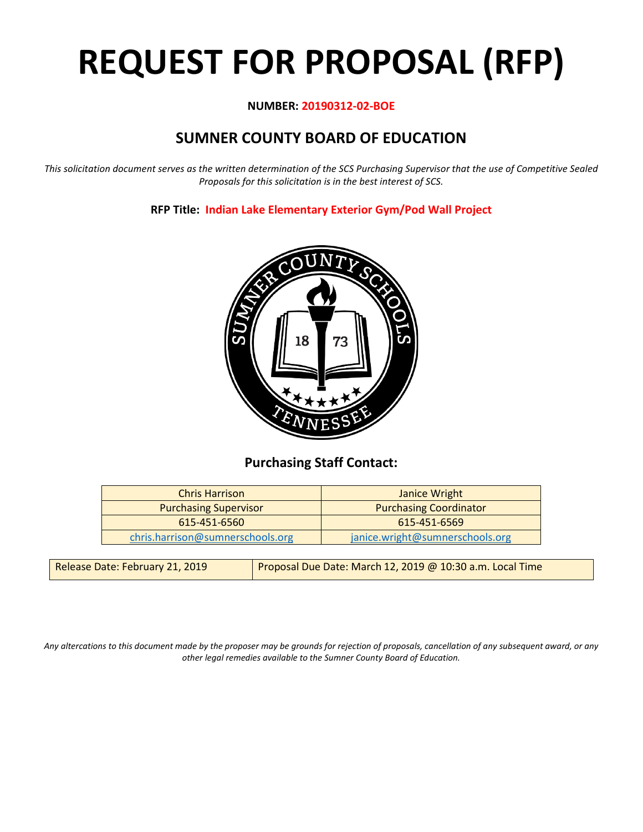# **REQUEST FOR PROPOSAL (RFP)**

## **NUMBER: 20190312-02-BOE**

# **SUMNER COUNTY BOARD OF EDUCATION**

*This solicitation document serves as the written determination of the SCS Purchasing Supervisor that the use of Competitive Sealed Proposals for this solicitation is in the best interest of SCS.*

# **RFP Title: Indian Lake Elementary Exterior Gym/Pod Wall Project**



# **Purchasing Staff Contact:**

| <b>Chris Harrison</b>            | Janice Wright                   |  |
|----------------------------------|---------------------------------|--|
| <b>Purchasing Supervisor</b>     | <b>Purchasing Coordinator</b>   |  |
| 615-451-6560                     | 615-451-6569                    |  |
| chris.harrison@sumnerschools.org | janice.wright@sumnerschools.org |  |

*Any altercations to this document made by the proposer may be grounds for rejection of proposals, cancellation of any subsequent award, or any other legal remedies available to the Sumner County Board of Education.*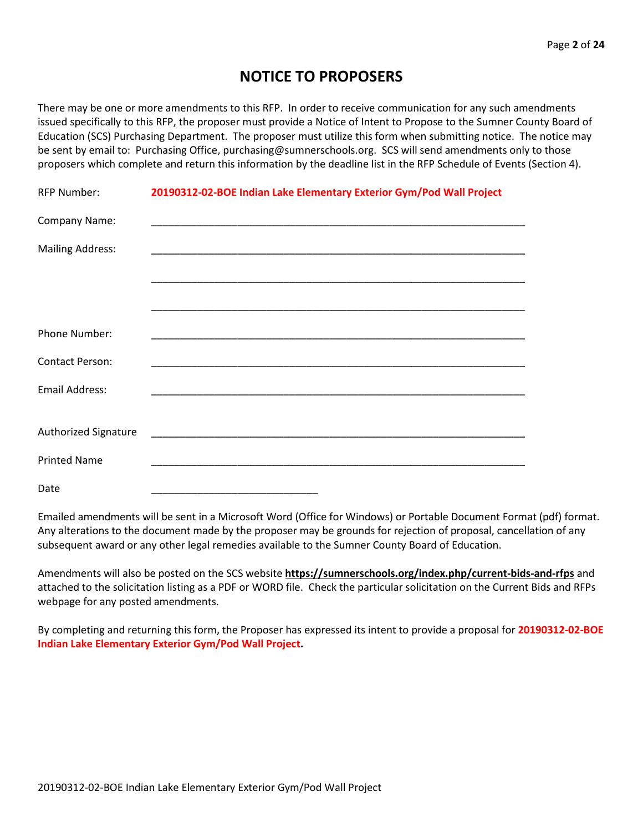# **NOTICE TO PROPOSERS**

There may be one or more amendments to this RFP. In order to receive communication for any such amendments issued specifically to this RFP, the proposer must provide a Notice of Intent to Propose to the Sumner County Board of Education (SCS) Purchasing Department. The proposer must utilize this form when submitting notice. The notice may be sent by email to: Purchasing Office, purchasing@sumnerschools.org. SCS will send amendments only to those proposers which complete and return this information by the deadline list in the RFP Schedule of Events (Section 4).

| <b>RFP Number:</b>          | 20190312-02-BOE Indian Lake Elementary Exterior Gym/Pod Wall Project |
|-----------------------------|----------------------------------------------------------------------|
| Company Name:               |                                                                      |
| <b>Mailing Address:</b>     |                                                                      |
|                             |                                                                      |
|                             |                                                                      |
| Phone Number:               |                                                                      |
| <b>Contact Person:</b>      |                                                                      |
| Email Address:              |                                                                      |
|                             |                                                                      |
| <b>Authorized Signature</b> |                                                                      |
| <b>Printed Name</b>         |                                                                      |
| Date                        |                                                                      |

Emailed amendments will be sent in a Microsoft Word (Office for Windows) or Portable Document Format (pdf) format. Any alterations to the document made by the proposer may be grounds for rejection of proposal, cancellation of any subsequent award or any other legal remedies available to the Sumner County Board of Education.

Amendments will also be posted on the SCS website **https://sumnerschools.org/index.php/current-bids-and-rfps** and attached to the solicitation listing as a PDF or WORD file. Check the particular solicitation on the Current Bids and RFPs webpage for any posted amendments.

By completing and returning this form, the Proposer has expressed its intent to provide a proposal for **20190312-02-BOE Indian Lake Elementary Exterior Gym/Pod Wall Project.**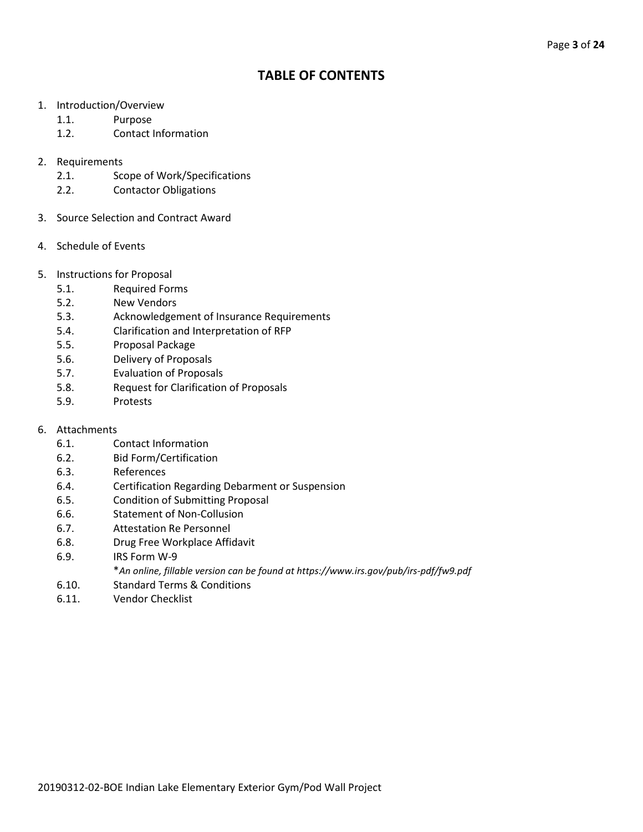# **TABLE OF CONTENTS**

- 1. Introduction/Overview
	- 1.1. Purpose
	- 1.2. Contact Information
- 2. Requirements
	- 2.1. Scope of Work/Specifications
	- 2.2. Contactor Obligations
- 3. Source Selection and Contract Award
- 4. Schedule of Events
- 5. Instructions for Proposal
	- 5.1. Required Forms
	- 5.2. New Vendors
	- 5.3. Acknowledgement of Insurance Requirements
	- 5.4. Clarification and Interpretation of RFP
	- 5.5. Proposal Package
	- 5.6. Delivery of Proposals
	- 5.7. Evaluation of Proposals
	- 5.8. Request for Clarification of Proposals
	- 5.9. Protests
- 6. Attachments
	- 6.1. Contact Information
	- 6.2. Bid Form/Certification
	- 6.3. References
	- 6.4. Certification Regarding Debarment or Suspension
	- 6.5. Condition of Submitting Proposal
	- 6.6. Statement of Non-Collusion
	- 6.7. Attestation Re Personnel
	- 6.8. Drug Free Workplace Affidavit
	- 6.9. IRS Form W-9
		- \**An online, fillable version can be found at https://www.irs.gov/pub/irs-pdf/fw9.pdf*
	- 6.10. Standard Terms & Conditions
	- 6.11. Vendor Checklist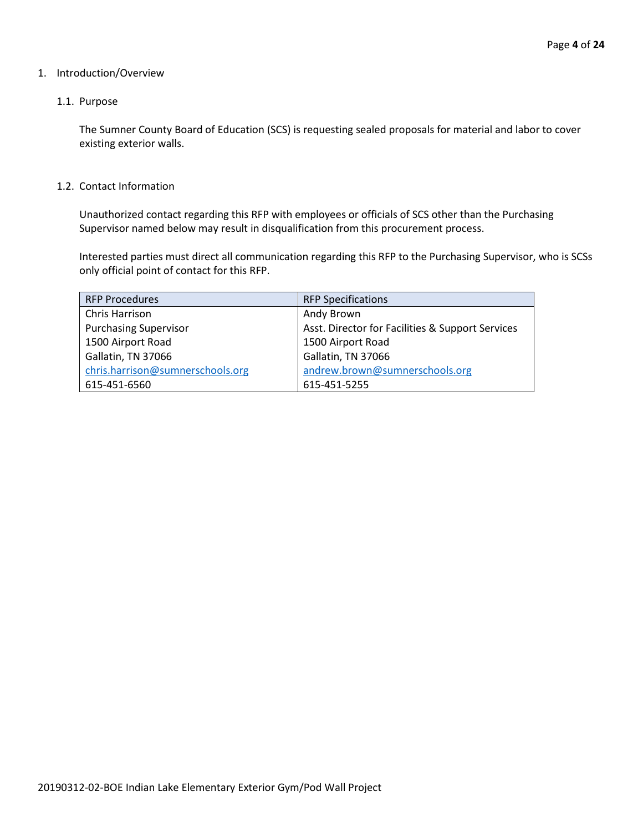#### 1. Introduction/Overview

#### 1.1. Purpose

The Sumner County Board of Education (SCS) is requesting sealed proposals for material and labor to cover existing exterior walls.

#### 1.2. Contact Information

Unauthorized contact regarding this RFP with employees or officials of SCS other than the Purchasing Supervisor named below may result in disqualification from this procurement process.

Interested parties must direct all communication regarding this RFP to the Purchasing Supervisor, who is SCSs only official point of contact for this RFP.

| <b>RFP Procedures</b>            | <b>RFP Specifications</b>                        |
|----------------------------------|--------------------------------------------------|
| Chris Harrison                   | Andy Brown                                       |
| <b>Purchasing Supervisor</b>     | Asst. Director for Facilities & Support Services |
| 1500 Airport Road                | 1500 Airport Road                                |
| Gallatin, TN 37066               | Gallatin, TN 37066                               |
| chris.harrison@sumnerschools.org | andrew.brown@sumnerschools.org                   |
| 615-451-6560                     | 615-451-5255                                     |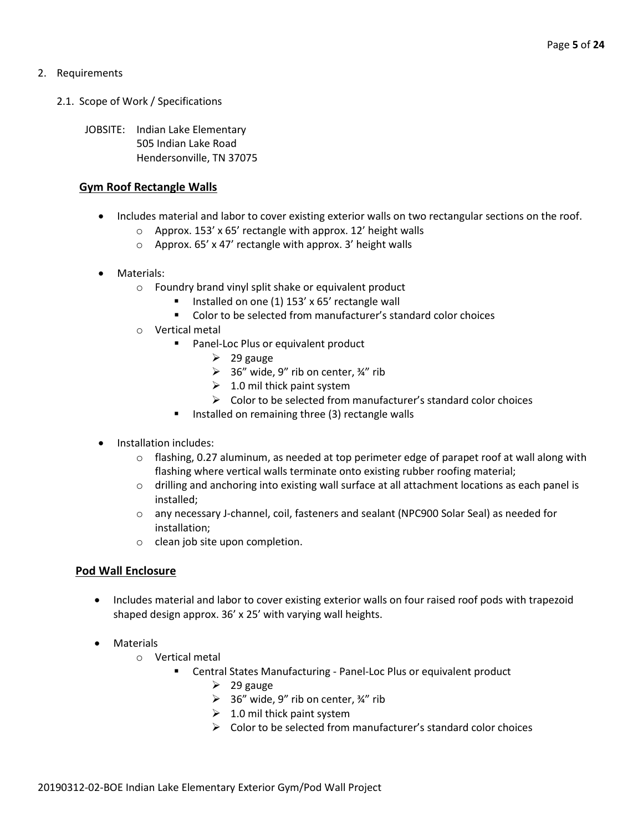## 2. Requirements

- 2.1. Scope of Work / Specifications
	- JOBSITE: Indian Lake Elementary 505 Indian Lake Road Hendersonville, TN 37075

## **Gym Roof Rectangle Walls**

- Includes material and labor to cover existing exterior walls on two rectangular sections on the roof.
	- o Approx. 153' x 65' rectangle with approx. 12' height walls
	- o Approx. 65' x 47' rectangle with approx. 3' height walls
- Materials:
	- o Foundry brand vinyl split shake or equivalent product
		- Installed on one (1) 153' x 65' rectangle wall
		- Color to be selected from manufacturer's standard color choices
	- o Vertical metal
		- **Panel-Loc Plus or equivalent product** 
			- $\geq$  29 gauge
			- $\geq$  36" wide, 9" rib on center,  $\frac{3}{4}$ " rib
			- $\geq 1.0$  mil thick paint system
			- $\triangleright$  Color to be selected from manufacturer's standard color choices
		- **IF** Installed on remaining three (3) rectangle walls
- Installation includes:
	- $\circ$  flashing, 0.27 aluminum, as needed at top perimeter edge of parapet roof at wall along with flashing where vertical walls terminate onto existing rubber roofing material;
	- o drilling and anchoring into existing wall surface at all attachment locations as each panel is installed;
	- o any necessary J-channel, coil, fasteners and sealant (NPC900 Solar Seal) as needed for installation;
	- o clean job site upon completion.

# **Pod Wall Enclosure**

- Includes material and labor to cover existing exterior walls on four raised roof pods with trapezoid shaped design approx. 36' x 25' with varying wall heights.
- Materials
	- o Vertical metal
		- Central States Manufacturing Panel-Loc Plus or equivalent product
			- $\geq$  29 gauge
			- $\geq$  36" wide, 9" rib on center, 34" rib
			- $\geq 1.0$  mil thick paint system
			- $\triangleright$  Color to be selected from manufacturer's standard color choices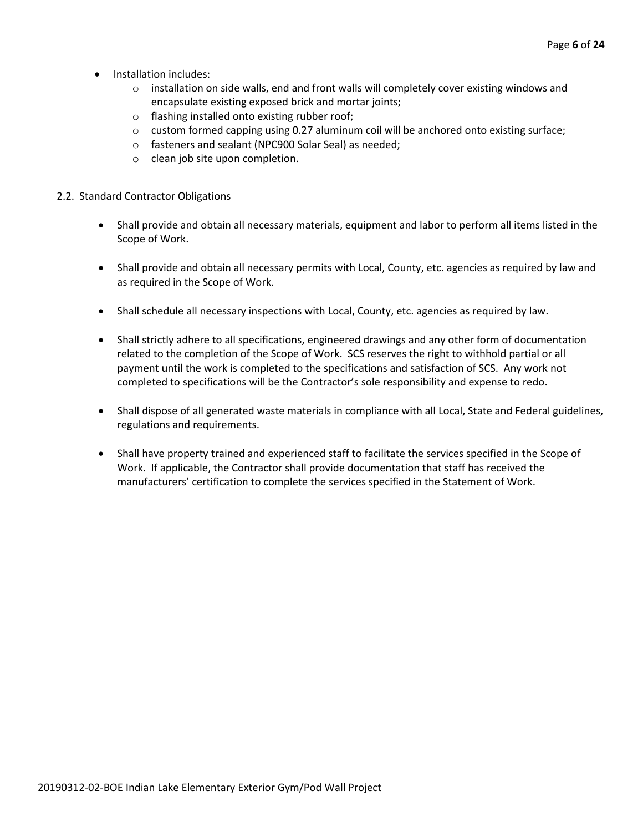- Installation includes:
	- $\circ$  installation on side walls, end and front walls will completely cover existing windows and encapsulate existing exposed brick and mortar joints;
	- o flashing installed onto existing rubber roof;
	- $\circ$  custom formed capping using 0.27 aluminum coil will be anchored onto existing surface;
	- o fasteners and sealant (NPC900 Solar Seal) as needed;
	- o clean job site upon completion.

#### 2.2. Standard Contractor Obligations

- Shall provide and obtain all necessary materials, equipment and labor to perform all items listed in the Scope of Work.
- Shall provide and obtain all necessary permits with Local, County, etc. agencies as required by law and as required in the Scope of Work.
- Shall schedule all necessary inspections with Local, County, etc. agencies as required by law.
- Shall strictly adhere to all specifications, engineered drawings and any other form of documentation related to the completion of the Scope of Work. SCS reserves the right to withhold partial or all payment until the work is completed to the specifications and satisfaction of SCS. Any work not completed to specifications will be the Contractor's sole responsibility and expense to redo.
- Shall dispose of all generated waste materials in compliance with all Local, State and Federal guidelines, regulations and requirements.
- Shall have property trained and experienced staff to facilitate the services specified in the Scope of Work. If applicable, the Contractor shall provide documentation that staff has received the manufacturers' certification to complete the services specified in the Statement of Work.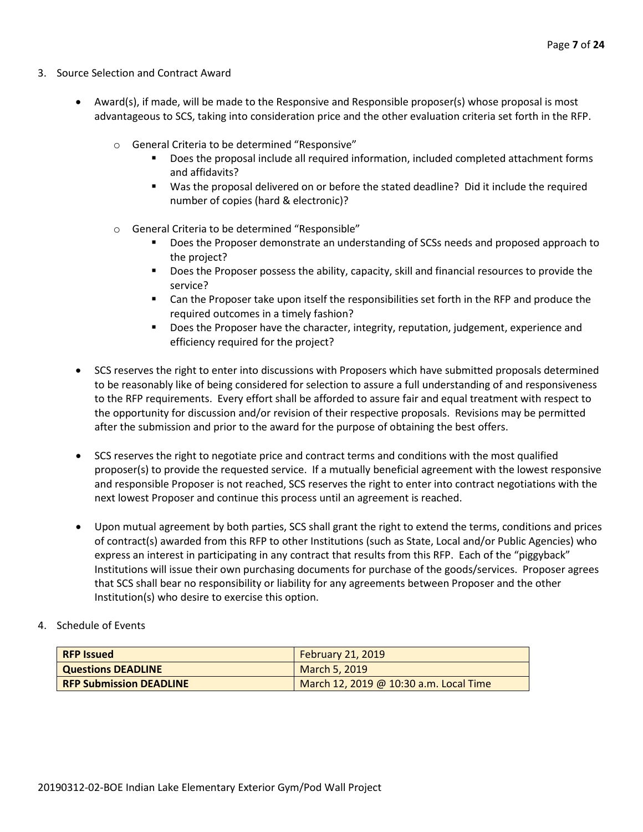- 3. Source Selection and Contract Award
	- Award(s), if made, will be made to the Responsive and Responsible proposer(s) whose proposal is most advantageous to SCS, taking into consideration price and the other evaluation criteria set forth in the RFP.
		- o General Criteria to be determined "Responsive"
			- Does the proposal include all required information, included completed attachment forms and affidavits?
			- Was the proposal delivered on or before the stated deadline? Did it include the required number of copies (hard & electronic)?
		- o General Criteria to be determined "Responsible"
			- Does the Proposer demonstrate an understanding of SCSs needs and proposed approach to the project?
			- **Does the Proposer possess the ability, capacity, skill and financial resources to provide the** service?
			- Can the Proposer take upon itself the responsibilities set forth in the RFP and produce the required outcomes in a timely fashion?
			- **Does the Proposer have the character, integrity, reputation, judgement, experience and** efficiency required for the project?
	- SCS reserves the right to enter into discussions with Proposers which have submitted proposals determined to be reasonably like of being considered for selection to assure a full understanding of and responsiveness to the RFP requirements. Every effort shall be afforded to assure fair and equal treatment with respect to the opportunity for discussion and/or revision of their respective proposals. Revisions may be permitted after the submission and prior to the award for the purpose of obtaining the best offers.
	- SCS reserves the right to negotiate price and contract terms and conditions with the most qualified proposer(s) to provide the requested service. If a mutually beneficial agreement with the lowest responsive and responsible Proposer is not reached, SCS reserves the right to enter into contract negotiations with the next lowest Proposer and continue this process until an agreement is reached.
	- Upon mutual agreement by both parties, SCS shall grant the right to extend the terms, conditions and prices of contract(s) awarded from this RFP to other Institutions (such as State, Local and/or Public Agencies) who express an interest in participating in any contract that results from this RFP. Each of the "piggyback" Institutions will issue their own purchasing documents for purchase of the goods/services. Proposer agrees that SCS shall bear no responsibility or liability for any agreements between Proposer and the other Institution(s) who desire to exercise this option.
- 4. Schedule of Events

| <b>RFP Issued</b>              | <b>February 21, 2019</b>               |
|--------------------------------|----------------------------------------|
| <b>Questions DEADLINE</b>      | March 5, 2019                          |
| <b>RFP Submission DEADLINE</b> | March 12, 2019 @ 10:30 a.m. Local Time |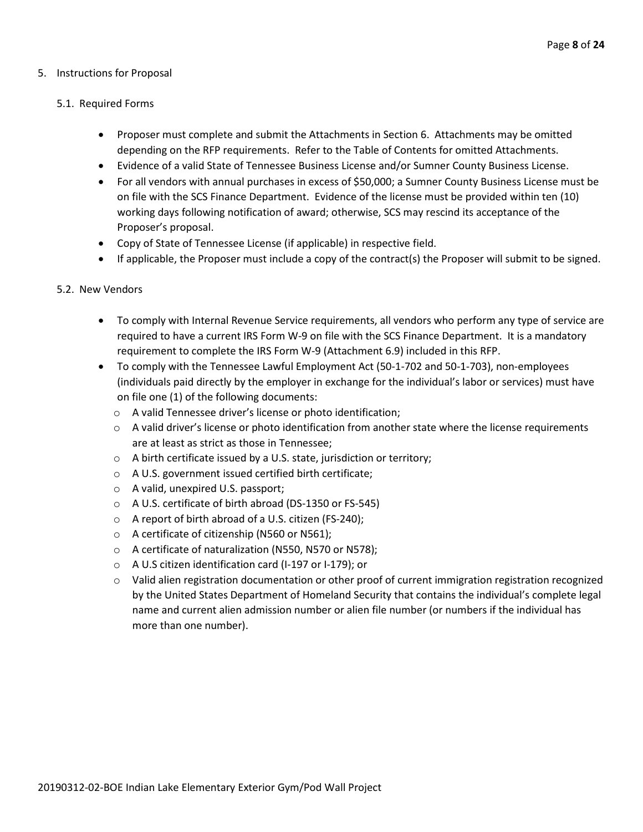#### 5. Instructions for Proposal

#### 5.1. Required Forms

- Proposer must complete and submit the Attachments in Section 6. Attachments may be omitted depending on the RFP requirements. Refer to the Table of Contents for omitted Attachments.
- Evidence of a valid State of Tennessee Business License and/or Sumner County Business License.
- For all vendors with annual purchases in excess of \$50,000; a Sumner County Business License must be on file with the SCS Finance Department. Evidence of the license must be provided within ten (10) working days following notification of award; otherwise, SCS may rescind its acceptance of the Proposer's proposal.
- Copy of State of Tennessee License (if applicable) in respective field.
- If applicable, the Proposer must include a copy of the contract(s) the Proposer will submit to be signed.

#### 5.2. New Vendors

- To comply with Internal Revenue Service requirements, all vendors who perform any type of service are required to have a current IRS Form W-9 on file with the SCS Finance Department. It is a mandatory requirement to complete the IRS Form W-9 (Attachment 6.9) included in this RFP.
- To comply with the Tennessee Lawful Employment Act (50-1-702 and 50-1-703), non-employees (individuals paid directly by the employer in exchange for the individual's labor or services) must have on file one (1) of the following documents:
	- o A valid Tennessee driver's license or photo identification;
	- $\circ$  A valid driver's license or photo identification from another state where the license requirements are at least as strict as those in Tennessee;
	- o A birth certificate issued by a U.S. state, jurisdiction or territory;
	- o A U.S. government issued certified birth certificate;
	- o A valid, unexpired U.S. passport;
	- o A U.S. certificate of birth abroad (DS-1350 or FS-545)
	- o A report of birth abroad of a U.S. citizen (FS-240);
	- o A certificate of citizenship (N560 or N561);
	- o A certificate of naturalization (N550, N570 or N578);
	- o A U.S citizen identification card (I-197 or I-179); or
	- $\circ$  Valid alien registration documentation or other proof of current immigration registration recognized by the United States Department of Homeland Security that contains the individual's complete legal name and current alien admission number or alien file number (or numbers if the individual has more than one number).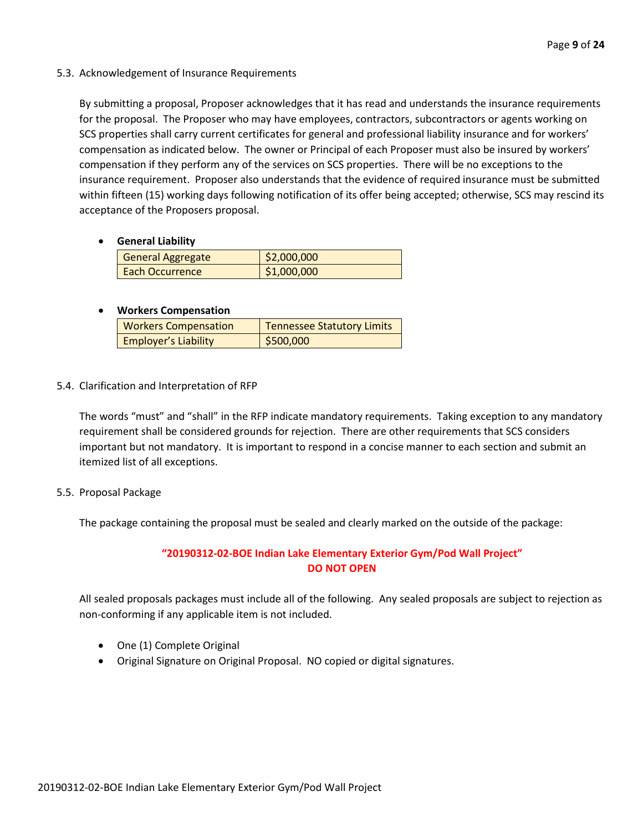5.3. Acknowledgement of Insurance Requirements

By submitting a proposal, Proposer acknowledges that it has read and understands the insurance requirements for the proposal. The Proposer who may have employees, contractors, subcontractors or agents working on SCS properties shall carry current certificates for general and professional liability insurance and for workers' compensation as indicated below. The owner or Principal of each Proposer must also be insured by workers' compensation if they perform any of the services on SCS properties. There will be no exceptions to the insurance requirement. Proposer also understands that the evidence of required insurance must be submitted within fifteen (15) working days following notification of its offer being accepted; otherwise, SCS may rescind its acceptance of the Proposers proposal.

• **General Liability**

| <b>General Aggregate</b> | \$2,000,000 |
|--------------------------|-------------|
| Each Occurrence          | \$1,000,000 |

## • **Workers Compensation**

| <b>Workers Compensation</b> | <b>Tennessee Statutory Limits</b> |
|-----------------------------|-----------------------------------|
| <b>Employer's Liability</b> | \$500,000                         |

5.4. Clarification and Interpretation of RFP

The words "must" and "shall" in the RFP indicate mandatory requirements. Taking exception to any mandatory requirement shall be considered grounds for rejection. There are other requirements that SCS considers important but not mandatory. It is important to respond in a concise manner to each section and submit an itemized list of all exceptions.

5.5. Proposal Package

The package containing the proposal must be sealed and clearly marked on the outside of the package:

# **"20190312-02-BOE Indian Lake Elementary Exterior Gym/Pod Wall Project" DO NOT OPEN**

All sealed proposals packages must include all of the following. Any sealed proposals are subject to rejection as non-conforming if any applicable item is not included.

- One (1) Complete Original
- Original Signature on Original Proposal. NO copied or digital signatures.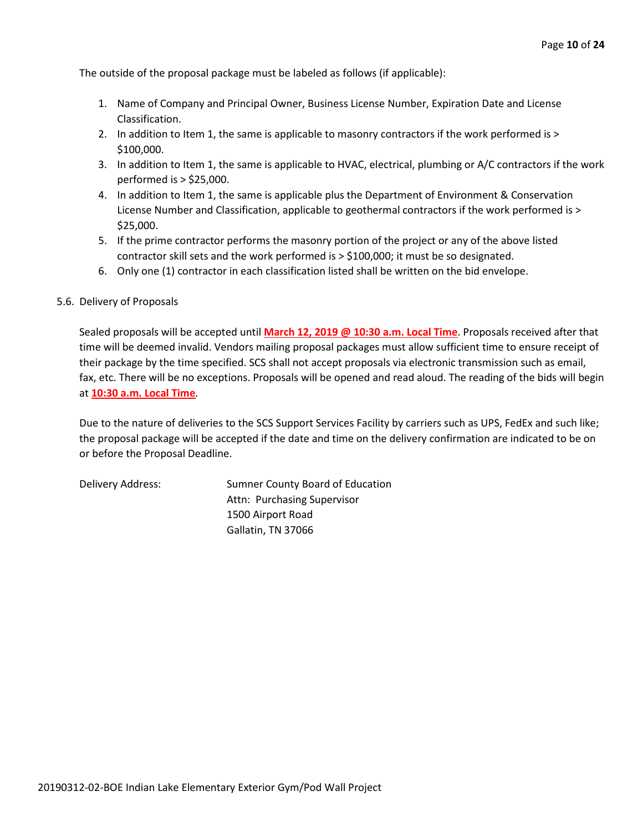The outside of the proposal package must be labeled as follows (if applicable):

- 1. Name of Company and Principal Owner, Business License Number, Expiration Date and License Classification.
- 2. In addition to Item 1, the same is applicable to masonry contractors if the work performed is > \$100,000.
- 3. In addition to Item 1, the same is applicable to HVAC, electrical, plumbing or A/C contractors if the work performed is > \$25,000.
- 4. In addition to Item 1, the same is applicable plus the Department of Environment & Conservation License Number and Classification, applicable to geothermal contractors if the work performed is > \$25,000.
- 5. If the prime contractor performs the masonry portion of the project or any of the above listed contractor skill sets and the work performed is > \$100,000; it must be so designated.
- 6. Only one (1) contractor in each classification listed shall be written on the bid envelope.

#### 5.6. Delivery of Proposals

Sealed proposals will be accepted until **March 12, 2019 @ 10:30 a.m. Local Time**. Proposals received after that time will be deemed invalid. Vendors mailing proposal packages must allow sufficient time to ensure receipt of their package by the time specified. SCS shall not accept proposals via electronic transmission such as email, fax, etc. There will be no exceptions. Proposals will be opened and read aloud. The reading of the bids will begin at **10:30 a.m. Local Time**.

Due to the nature of deliveries to the SCS Support Services Facility by carriers such as UPS, FedEx and such like; the proposal package will be accepted if the date and time on the delivery confirmation are indicated to be on or before the Proposal Deadline.

Delivery Address: Sumner County Board of Education Attn: Purchasing Supervisor 1500 Airport Road Gallatin, TN 37066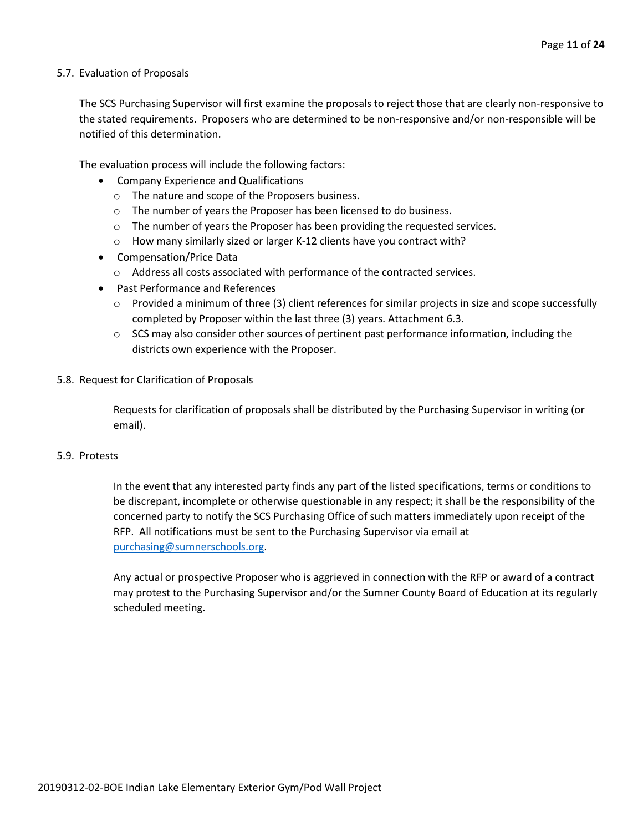#### 5.7. Evaluation of Proposals

The SCS Purchasing Supervisor will first examine the proposals to reject those that are clearly non-responsive to the stated requirements. Proposers who are determined to be non-responsive and/or non-responsible will be notified of this determination.

The evaluation process will include the following factors:

- Company Experience and Qualifications
	- o The nature and scope of the Proposers business.
	- $\circ$  The number of years the Proposer has been licensed to do business.
	- $\circ$  The number of years the Proposer has been providing the requested services.
	- o How many similarly sized or larger K-12 clients have you contract with?
- Compensation/Price Data
	- o Address all costs associated with performance of the contracted services.
- Past Performance and References
	- $\circ$  Provided a minimum of three (3) client references for similar projects in size and scope successfully completed by Proposer within the last three (3) years. Attachment 6.3.
	- $\circ$  SCS may also consider other sources of pertinent past performance information, including the districts own experience with the Proposer.
- 5.8. Request for Clarification of Proposals

Requests for clarification of proposals shall be distributed by the Purchasing Supervisor in writing (or email).

#### 5.9. Protests

In the event that any interested party finds any part of the listed specifications, terms or conditions to be discrepant, incomplete or otherwise questionable in any respect; it shall be the responsibility of the concerned party to notify the SCS Purchasing Office of such matters immediately upon receipt of the RFP. All notifications must be sent to the Purchasing Supervisor via email at [purchasing@sumnerschools.org.](mailto:purchasing@sumnerschools.org)

Any actual or prospective Proposer who is aggrieved in connection with the RFP or award of a contract may protest to the Purchasing Supervisor and/or the Sumner County Board of Education at its regularly scheduled meeting.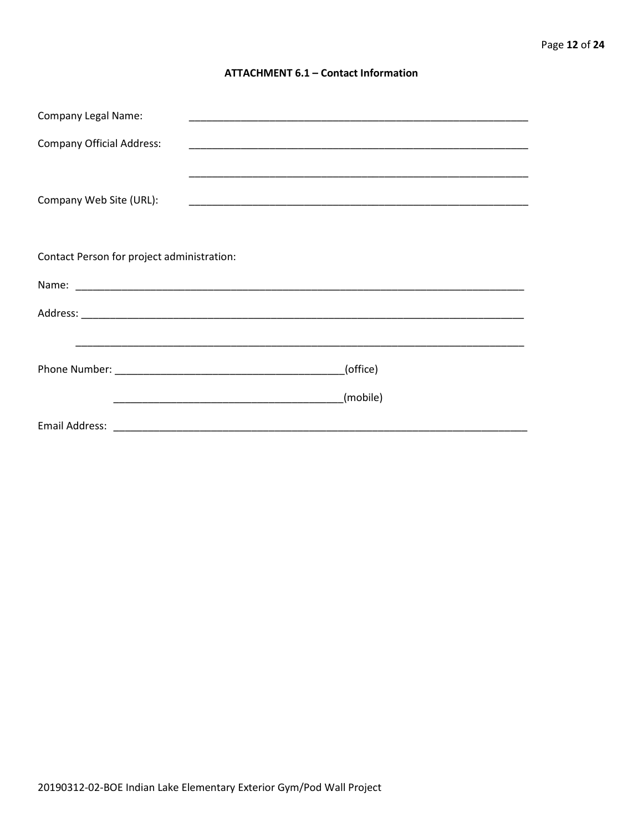#### **ATTACHMENT 6.1 - Contact Information**

| <b>Company Legal Name:</b>                 |          |  |  |
|--------------------------------------------|----------|--|--|
| <b>Company Official Address:</b>           |          |  |  |
|                                            |          |  |  |
| Company Web Site (URL):                    |          |  |  |
|                                            |          |  |  |
| Contact Person for project administration: |          |  |  |
|                                            |          |  |  |
|                                            |          |  |  |
|                                            |          |  |  |
|                                            | (office) |  |  |
|                                            | (mobile) |  |  |
|                                            |          |  |  |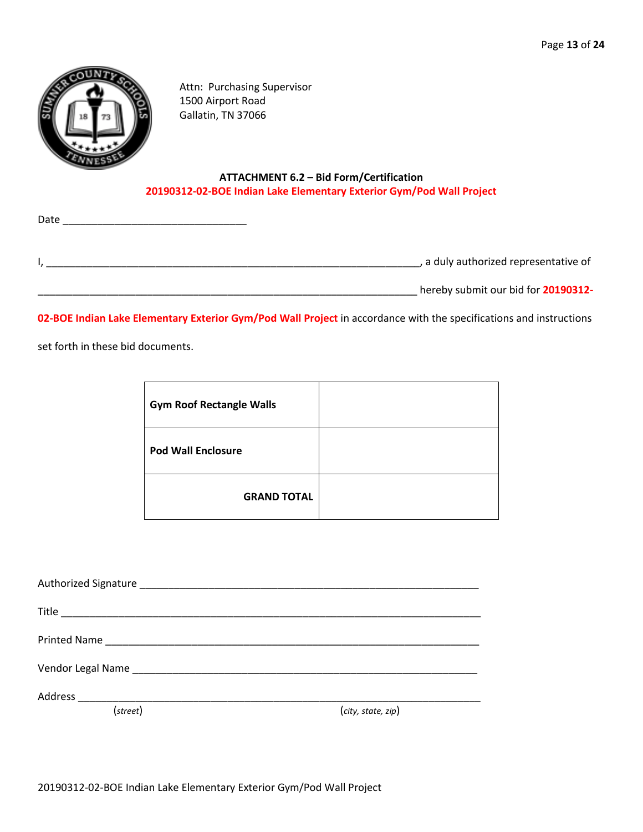

Attn: Purchasing Supervisor 1500 Airport Road Gallatin, TN 37066

### **ATTACHMENT 6.2 – Bid Form/Certification 20190312-02-BOE Indian Lake Elementary Exterior Gym/Pod Wall Project**

| a duly authorized representative of |
|-------------------------------------|
|                                     |

\_\_\_\_\_\_\_\_\_\_\_\_\_\_\_\_\_\_\_\_\_\_\_\_\_\_\_\_\_\_\_\_\_\_\_\_\_\_\_\_\_\_\_\_\_\_\_\_\_\_\_\_\_\_\_\_\_\_\_\_\_\_\_\_\_\_ hereby submit our bid for **20190312-**

**02-BOE Indian Lake Elementary Exterior Gym/Pod Wall Project** in accordance with the specifications and instructions

set forth in these bid documents.

Date \_\_\_\_\_\_\_\_\_\_\_\_\_\_\_\_\_\_\_\_\_\_\_\_\_\_\_\_\_\_\_\_

| <b>Gym Roof Rectangle Walls</b> |  |
|---------------------------------|--|
| <b>Pod Wall Enclosure</b>       |  |
| <b>GRAND TOTAL</b>              |  |

| (street) | (city, state, zip) |
|----------|--------------------|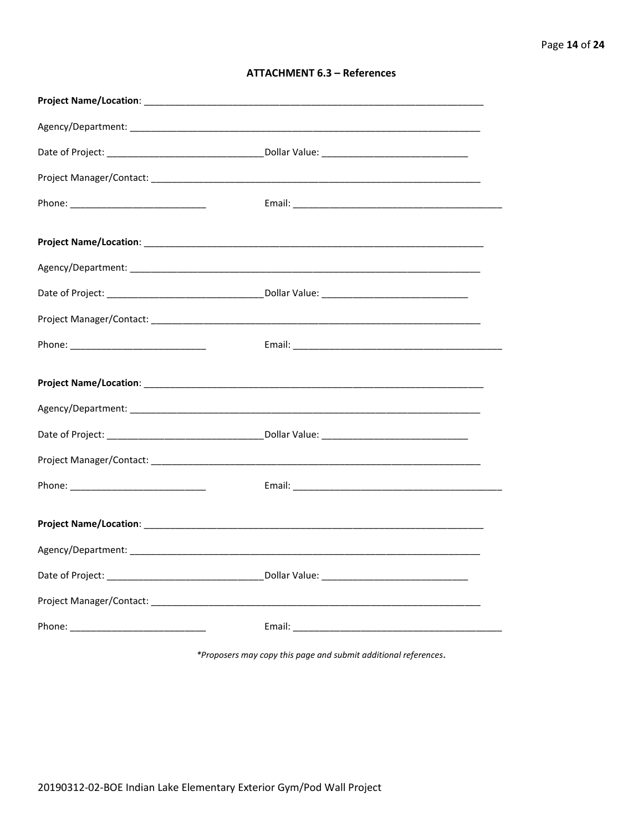| <b>ATTACHMENT 6.3 - References</b> |  |  |
|------------------------------------|--|--|
|------------------------------------|--|--|

\*Proposers may copy this page and submit additional references.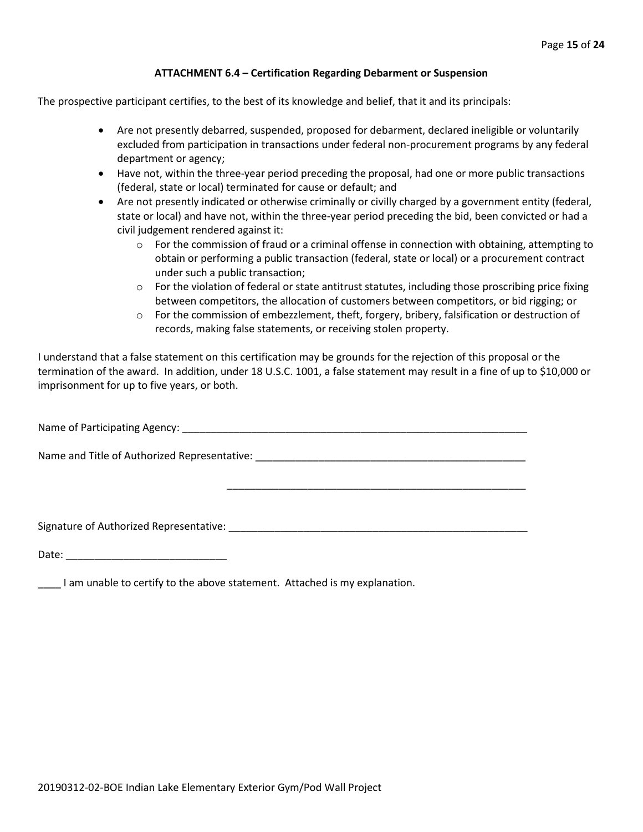#### **ATTACHMENT 6.4 – Certification Regarding Debarment or Suspension**

The prospective participant certifies, to the best of its knowledge and belief, that it and its principals:

- Are not presently debarred, suspended, proposed for debarment, declared ineligible or voluntarily excluded from participation in transactions under federal non-procurement programs by any federal department or agency;
- Have not, within the three-year period preceding the proposal, had one or more public transactions (federal, state or local) terminated for cause or default; and
- Are not presently indicated or otherwise criminally or civilly charged by a government entity (federal, state or local) and have not, within the three-year period preceding the bid, been convicted or had a civil judgement rendered against it:
	- $\circ$  For the commission of fraud or a criminal offense in connection with obtaining, attempting to obtain or performing a public transaction (federal, state or local) or a procurement contract under such a public transaction;
	- $\circ$  For the violation of federal or state antitrust statutes, including those proscribing price fixing between competitors, the allocation of customers between competitors, or bid rigging; or
	- $\circ$  For the commission of embezzlement, theft, forgery, bribery, falsification or destruction of records, making false statements, or receiving stolen property.

\_\_\_\_\_\_\_\_\_\_\_\_\_\_\_\_\_\_\_\_\_\_\_\_\_\_\_\_\_\_\_\_\_\_\_\_\_\_\_\_\_\_\_\_\_\_\_\_\_\_\_\_

I understand that a false statement on this certification may be grounds for the rejection of this proposal or the termination of the award. In addition, under 18 U.S.C. 1001, a false statement may result in a fine of up to \$10,000 or imprisonment for up to five years, or both.

Name of Participating Agency: \_\_\_\_\_\_\_\_\_\_\_\_\_\_\_\_\_\_\_\_\_\_\_\_\_\_\_\_\_\_\_\_\_\_\_\_\_\_\_\_\_\_\_\_\_\_\_\_\_\_\_\_\_\_\_\_\_\_\_\_

Name and Title of Authorized Representative: \_\_\_\_\_\_\_\_\_\_\_\_\_\_\_\_\_\_\_\_\_\_\_\_\_\_\_\_\_\_\_\_\_\_\_\_\_\_\_\_\_\_\_\_\_\_\_

Signature of Authorized Representative: \_\_\_\_\_\_\_\_\_\_\_\_\_\_\_\_\_\_\_\_\_\_\_\_\_\_\_\_\_\_\_\_\_\_\_\_\_\_\_\_\_\_\_\_\_\_\_\_\_\_\_\_

Date: \_\_\_\_\_\_\_\_\_\_\_\_\_\_\_\_\_\_\_\_\_\_\_\_\_\_\_\_

\_\_\_\_ I am unable to certify to the above statement. Attached is my explanation.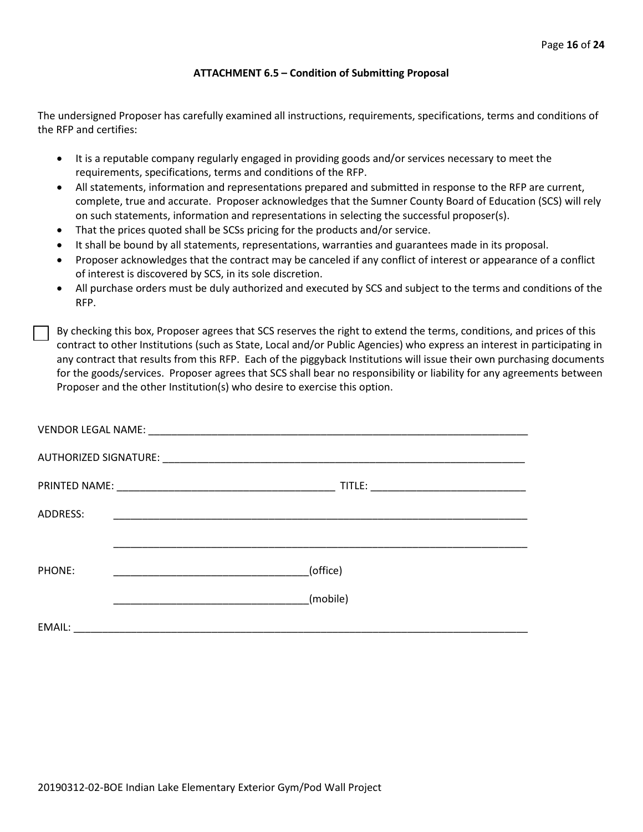#### **ATTACHMENT 6.5 – Condition of Submitting Proposal**

The undersigned Proposer has carefully examined all instructions, requirements, specifications, terms and conditions of the RFP and certifies:

- It is a reputable company regularly engaged in providing goods and/or services necessary to meet the requirements, specifications, terms and conditions of the RFP.
- All statements, information and representations prepared and submitted in response to the RFP are current, complete, true and accurate. Proposer acknowledges that the Sumner County Board of Education (SCS) will rely on such statements, information and representations in selecting the successful proposer(s).
- That the prices quoted shall be SCSs pricing for the products and/or service.
- It shall be bound by all statements, representations, warranties and guarantees made in its proposal.
- Proposer acknowledges that the contract may be canceled if any conflict of interest or appearance of a conflict of interest is discovered by SCS, in its sole discretion.
- All purchase orders must be duly authorized and executed by SCS and subject to the terms and conditions of the RFP.

By checking this box, Proposer agrees that SCS reserves the right to extend the terms, conditions, and prices of this contract to other Institutions (such as State, Local and/or Public Agencies) who express an interest in participating in any contract that results from this RFP. Each of the piggyback Institutions will issue their own purchasing documents for the goods/services. Proposer agrees that SCS shall bear no responsibility or liability for any agreements between Proposer and the other Institution(s) who desire to exercise this option.

| ADDRESS: |                                                           |
|----------|-----------------------------------------------------------|
|          |                                                           |
| PHONE:   | (office)                                                  |
|          | (mobile)                                                  |
| EMAIL:   | <u> 1980 - John Stein, Amerikaansk politiker († 1900)</u> |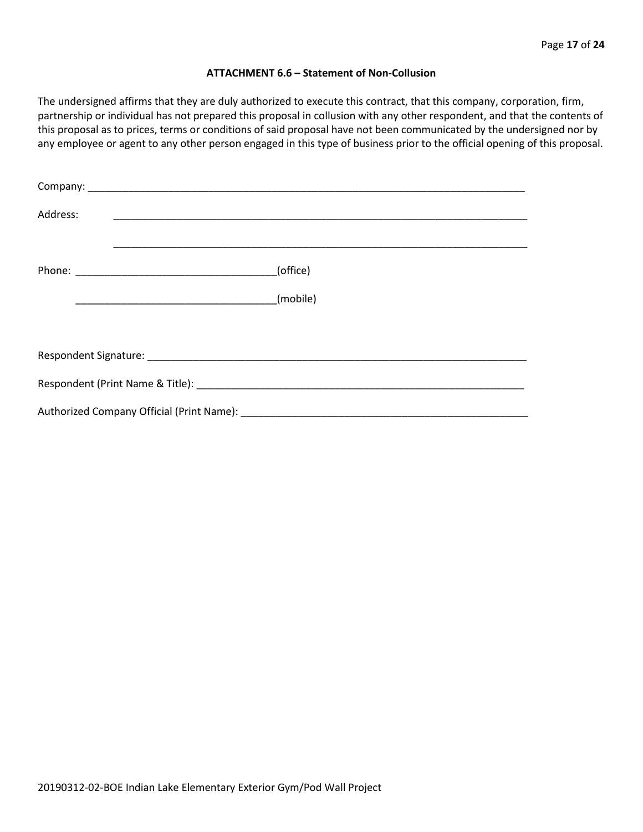#### **ATTACHMENT 6.6 – Statement of Non-Collusion**

The undersigned affirms that they are duly authorized to execute this contract, that this company, corporation, firm, partnership or individual has not prepared this proposal in collusion with any other respondent, and that the contents of this proposal as to prices, terms or conditions of said proposal have not been communicated by the undersigned nor by any employee or agent to any other person engaged in this type of business prior to the official opening of this proposal.

| Address: |          |  |  |  |  |
|----------|----------|--|--|--|--|
|          | (office) |  |  |  |  |
|          | (mobile) |  |  |  |  |
|          |          |  |  |  |  |
|          |          |  |  |  |  |
|          |          |  |  |  |  |
|          |          |  |  |  |  |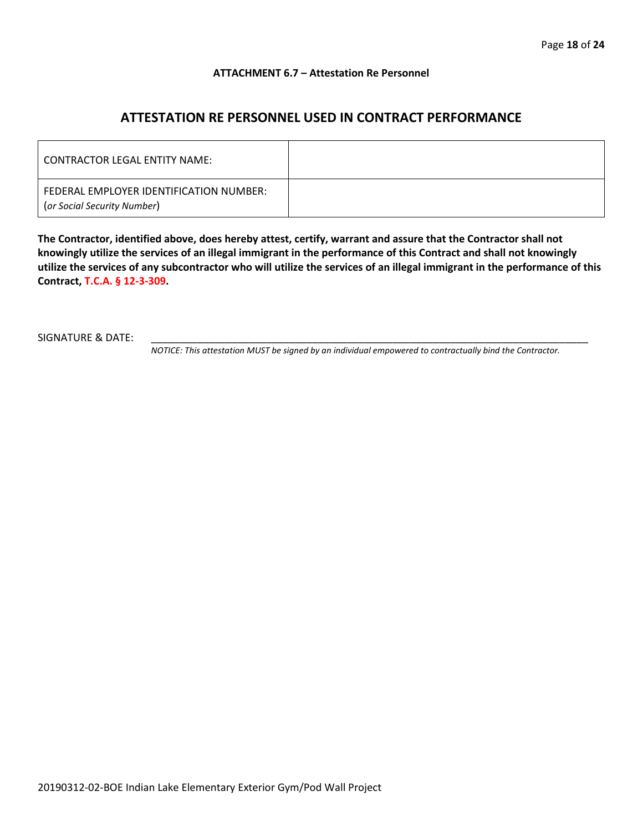#### **ATTACHMENT 6.7 – Attestation Re Personnel**

# **ATTESTATION RE PERSONNEL USED IN CONTRACT PERFORMANCE**

| CONTRACTOR LEGAL ENTITY NAME:                                          |  |
|------------------------------------------------------------------------|--|
| FEDERAL EMPLOYER IDENTIFICATION NUMBER:<br>(or Social Security Number) |  |

**The Contractor, identified above, does hereby attest, certify, warrant and assure that the Contractor shall not knowingly utilize the services of an illegal immigrant in the performance of this Contract and shall not knowingly utilize the services of any subcontractor who will utilize the services of an illegal immigrant in the performance of this Contract, T.C.A. § 12-3-309.**

SIGNATURE & DATE:

*NOTICE: This attestation MUST be signed by an individual empowered to contractually bind the Contractor.*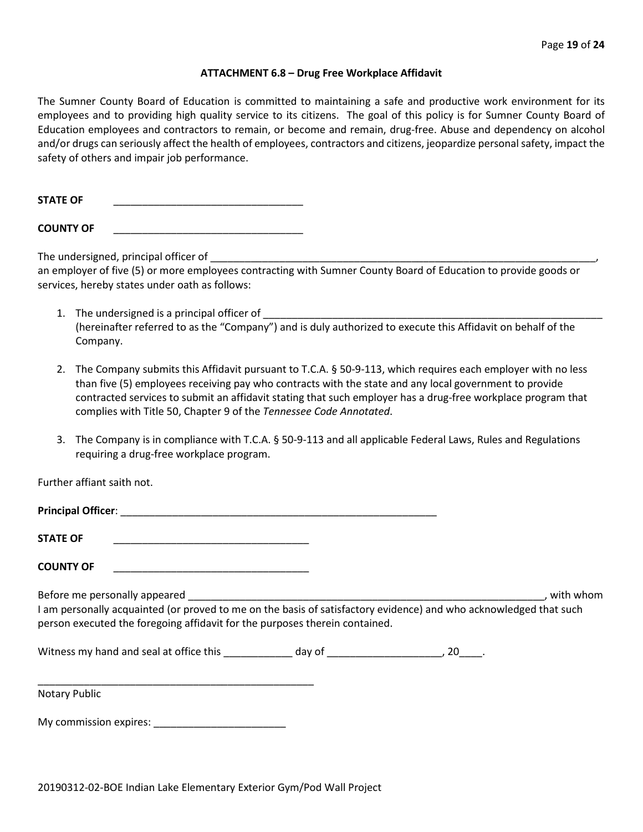#### **ATTACHMENT 6.8 – Drug Free Workplace Affidavit**

The Sumner County Board of Education is committed to maintaining a safe and productive work environment for its employees and to providing high quality service to its citizens. The goal of this policy is for Sumner County Board of Education employees and contractors to remain, or become and remain, drug-free. Abuse and dependency on alcohol and/or drugs can seriously affect the health of employees, contractors and citizens, jeopardize personal safety, impact the safety of others and impair job performance.

STATE OF

**COUNTY OF** \_\_\_\_\_\_\_\_\_\_\_\_\_\_\_\_\_\_\_\_\_\_\_\_\_\_\_\_\_\_\_\_\_

The undersigned, principal officer of

an employer of five (5) or more employees contracting with Sumner County Board of Education to provide goods or services, hereby states under oath as follows:

- 1. The undersigned is a principal officer of (hereinafter referred to as the "Company") and is duly authorized to execute this Affidavit on behalf of the Company.
- 2. The Company submits this Affidavit pursuant to T.C.A. § 50-9-113, which requires each employer with no less than five (5) employees receiving pay who contracts with the state and any local government to provide contracted services to submit an affidavit stating that such employer has a drug-free workplace program that complies with Title 50, Chapter 9 of the *Tennessee Code Annotated*.
- 3. The Company is in compliance with T.C.A. § 50-9-113 and all applicable Federal Laws, Rules and Regulations requiring a drug-free workplace program.

Further affiant saith not.

| <b>STATE OF</b>                                                                                                                                                                                  |  |             |
|--------------------------------------------------------------------------------------------------------------------------------------------------------------------------------------------------|--|-------------|
| <b>COUNTY OF</b>                                                                                                                                                                                 |  |             |
| I am personally acquainted (or proved to me on the basis of satisfactory evidence) and who acknowledged that such<br>person executed the foregoing affidavit for the purposes therein contained. |  | . with whom |
|                                                                                                                                                                                                  |  |             |
| <b>Notary Public</b>                                                                                                                                                                             |  |             |
| My commission expires: Network and the set of the set of the set of the set of the set of the set of the set o                                                                                   |  |             |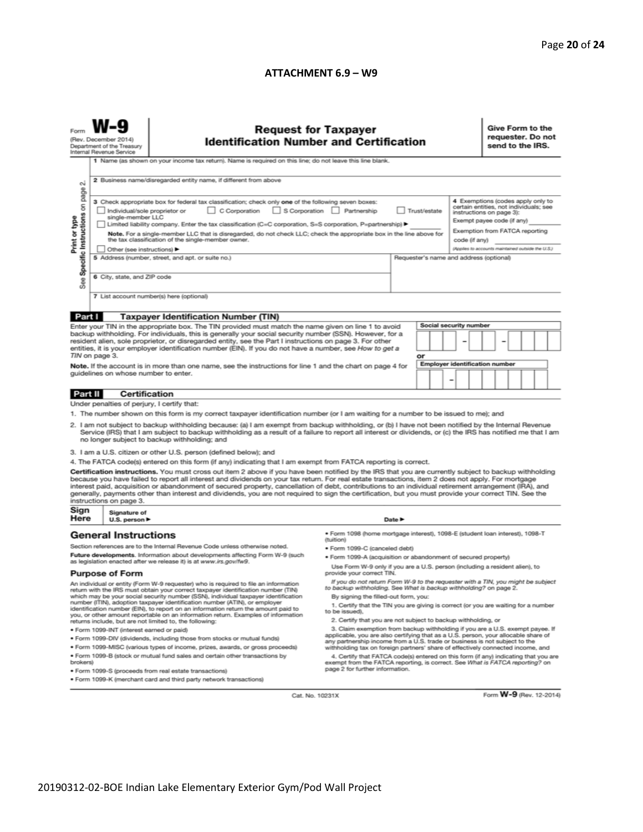#### **ATTACHMENT 6.9 – W9**

| <b>Request for Taxpayer</b><br>(Rev. December 2014)<br><b>Identification Number and Certification</b><br>Department of the Treasury<br>Internal Revenue Service                                                                                                                                                                                                                                                                                                                                                                                                                                                                                                                                                                                                                                                                                                                                                                                                                                                                                                                                                                                                                                                                                                                                                                                                                                                                                                                                                                                                                                                                                                                                                                                                                                                                                                                                                                                                                                                                                                                                                                                                                                                                                                                                                                                                                                                                                                                        |                                                                                                                                                                                                                                                                                                                            |                                                                                               |  |                                         |                                       |  |                                                                                                                                                                                         | Give Form to the<br>requester. Do not<br>send to the IRS. |  |  |                         |  |
|----------------------------------------------------------------------------------------------------------------------------------------------------------------------------------------------------------------------------------------------------------------------------------------------------------------------------------------------------------------------------------------------------------------------------------------------------------------------------------------------------------------------------------------------------------------------------------------------------------------------------------------------------------------------------------------------------------------------------------------------------------------------------------------------------------------------------------------------------------------------------------------------------------------------------------------------------------------------------------------------------------------------------------------------------------------------------------------------------------------------------------------------------------------------------------------------------------------------------------------------------------------------------------------------------------------------------------------------------------------------------------------------------------------------------------------------------------------------------------------------------------------------------------------------------------------------------------------------------------------------------------------------------------------------------------------------------------------------------------------------------------------------------------------------------------------------------------------------------------------------------------------------------------------------------------------------------------------------------------------------------------------------------------------------------------------------------------------------------------------------------------------------------------------------------------------------------------------------------------------------------------------------------------------------------------------------------------------------------------------------------------------------------------------------------------------------------------------------------------------|----------------------------------------------------------------------------------------------------------------------------------------------------------------------------------------------------------------------------------------------------------------------------------------------------------------------------|-----------------------------------------------------------------------------------------------|--|-----------------------------------------|---------------------------------------|--|-----------------------------------------------------------------------------------------------------------------------------------------------------------------------------------------|-----------------------------------------------------------|--|--|-------------------------|--|
| σû<br>page                                                                                                                                                                                                                                                                                                                                                                                                                                                                                                                                                                                                                                                                                                                                                                                                                                                                                                                                                                                                                                                                                                                                                                                                                                                                                                                                                                                                                                                                                                                                                                                                                                                                                                                                                                                                                                                                                                                                                                                                                                                                                                                                                                                                                                                                                                                                                                                                                                                                             | 1 Name (as shown on your income tax return). Name is required on this line; do not leave this line blank.<br>2 Business name/disregarded entity name, if different from above<br>4 Exemptions (codes apply only to<br>3 Check appropriate box for federal tax classification; check only one of the following seven boxes: |                                                                                               |  |                                         |                                       |  |                                                                                                                                                                                         |                                                           |  |  |                         |  |
| Specific Instructions on<br>C Corporation<br>S Corporation Partnership<br>Individual/sole proprietor or<br>Trust/estate<br>Print or type<br>single-member LLC<br>Limited liability company. Enter the tax classification (C=C corporation, S=S corporation, P=partnership) ▶<br>Note. For a single-member LLC that is disregarded, do not check LLC; check the appropriate box in the line above for<br>the tax classification of the single-member owner.<br>code (if any)<br>Other (see instructions) ▶                                                                                                                                                                                                                                                                                                                                                                                                                                                                                                                                                                                                                                                                                                                                                                                                                                                                                                                                                                                                                                                                                                                                                                                                                                                                                                                                                                                                                                                                                                                                                                                                                                                                                                                                                                                                                                                                                                                                                                              |                                                                                                                                                                                                                                                                                                                            |                                                                                               |  |                                         |                                       |  | certain entities, not individuals; see<br>instructions on page 3):<br>Exempt payee code (if any)<br>Exemption from FATCA reporting<br>(Applies to accounts maintained outside the U.S.) |                                                           |  |  |                         |  |
| See                                                                                                                                                                                                                                                                                                                                                                                                                                                                                                                                                                                                                                                                                                                                                                                                                                                                                                                                                                                                                                                                                                                                                                                                                                                                                                                                                                                                                                                                                                                                                                                                                                                                                                                                                                                                                                                                                                                                                                                                                                                                                                                                                                                                                                                                                                                                                                                                                                                                                    | 6 City, state, and ZIP code                                                                                                                                                                                                                                                                                                | 5 Address (number, street, and apt. or suite no.)<br>7 List account number(s) here (optional) |  | Requester's name and address (optional) |                                       |  |                                                                                                                                                                                         |                                                           |  |  |                         |  |
| Part I<br><b>Taxpayer Identification Number (TIN)</b><br>Social security number<br>Enter your TIN in the appropriate box. The TIN provided must match the name given on line 1 to avoid                                                                                                                                                                                                                                                                                                                                                                                                                                                                                                                                                                                                                                                                                                                                                                                                                                                                                                                                                                                                                                                                                                                                                                                                                                                                                                                                                                                                                                                                                                                                                                                                                                                                                                                                                                                                                                                                                                                                                                                                                                                                                                                                                                                                                                                                                                |                                                                                                                                                                                                                                                                                                                            |                                                                                               |  |                                         |                                       |  |                                                                                                                                                                                         |                                                           |  |  |                         |  |
| backup withholding. For individuals, this is generally your social security number (SSN). However, for a<br>resident alien, sole proprietor, or disregarded entity, see the Part I instructions on page 3. For other<br>entities, it is your employer identification number (EIN). If you do not have a number, see How to get a<br>TIN on page 3.<br>Note. If the account is in more than one name, see the instructions for line 1 and the chart on page 4 for<br>guidelines on whose number to enter.                                                                                                                                                                                                                                                                                                                                                                                                                                                                                                                                                                                                                                                                                                                                                                                                                                                                                                                                                                                                                                                                                                                                                                                                                                                                                                                                                                                                                                                                                                                                                                                                                                                                                                                                                                                                                                                                                                                                                                               |                                                                                                                                                                                                                                                                                                                            |                                                                                               |  |                                         | or                                    |  |                                                                                                                                                                                         |                                                           |  |  |                         |  |
|                                                                                                                                                                                                                                                                                                                                                                                                                                                                                                                                                                                                                                                                                                                                                                                                                                                                                                                                                                                                                                                                                                                                                                                                                                                                                                                                                                                                                                                                                                                                                                                                                                                                                                                                                                                                                                                                                                                                                                                                                                                                                                                                                                                                                                                                                                                                                                                                                                                                                        |                                                                                                                                                                                                                                                                                                                            |                                                                                               |  |                                         | <b>Employer identification number</b> |  |                                                                                                                                                                                         |                                                           |  |  |                         |  |
| Under penalties of perjury, I certify that:<br>1. The number shown on this form is my correct taxpayer identification number (or I am waiting for a number to be issued to me); and<br>2. I am not subject to backup withholding because: (a) I am exempt from backup withholding, or (b) I have not been notified by the Internal Revenue<br>Service (IRS) that I am subject to backup withholding as a result of a failure to report all interest or dividends, or (c) the IRS has notified me that I am<br>no longer subject to backup withholding; and<br>3. I am a U.S. citizen or other U.S. person (defined below); and<br>4. The FATCA code(s) entered on this form (if any) indicating that I am exempt from FATCA reporting is correct.<br>Certification instructions. You must cross out item 2 above if you have been notified by the IRS that you are currently subject to backup withholding<br>because you have failed to report all interest and dividends on your tax return. For real estate transactions, item 2 does not apply. For mortgage<br>interest paid, acquisition or abandonment of secured property, cancellation of debt, contributions to an individual retirement arrangement (IRA), and<br>generally, payments other than interest and dividends, you are not required to sign the certification, but you must provide your correct TIN. See the<br>instructions on page 3.                                                                                                                                                                                                                                                                                                                                                                                                                                                                                                                                                                                                                                                                                                                                                                                                                                                                                                                                                                                                                                                                          |                                                                                                                                                                                                                                                                                                                            |                                                                                               |  |                                         |                                       |  |                                                                                                                                                                                         |                                                           |  |  |                         |  |
| Sign<br>Here                                                                                                                                                                                                                                                                                                                                                                                                                                                                                                                                                                                                                                                                                                                                                                                                                                                                                                                                                                                                                                                                                                                                                                                                                                                                                                                                                                                                                                                                                                                                                                                                                                                                                                                                                                                                                                                                                                                                                                                                                                                                                                                                                                                                                                                                                                                                                                                                                                                                           | Signature of<br>U.S. person $\blacktriangleright$                                                                                                                                                                                                                                                                          |                                                                                               |  | Date P                                  |                                       |  |                                                                                                                                                                                         |                                                           |  |  |                         |  |
| · Form 1098 (home mortgage interest), 1098-E (student loan interest), 1098-T<br><b>General Instructions</b><br>(tuition)<br>Section references are to the Internal Revenue Code unless otherwise noted.<br>• Form 1099-C (canceled debt)<br>Future developments. Information about developments affecting Form W-9 (such<br>. Form 1099-A (acquisition or abandonment of secured property)<br>as legislation enacted after we release it) is at www.irs.gov/fw9.<br>Use Form W-9 only if you are a U.S. person (including a resident alien), to<br><b>Purpose of Form</b><br>provide your correct TIN.<br>If you do not return Form W-9 to the requester with a TIN, you might be subject<br>An individual or entity (Form W-9 requester) who is required to file an information<br>to backup withholding. See What is backup withholding? on page 2.<br>return with the IRS must obtain your correct taxpayer identification number (TIN)<br>which may be your social security number (SSN), individual taxpayer identification<br>By signing the filled-out form, you:<br>number (ITIN), adoption taxpayer identification number (ATIN), or employer<br>1. Certify that the TIN you are giving is correct (or you are waiting for a number<br>identification number (EIN), to report on an information return the amount paid to<br>to be issued).<br>you, or other amount reportable on an information return. Examples of information<br>2. Certify that you are not subject to backup withholding, or<br>returns include, but are not limited to, the following:<br>3. Claim exemption from backup withholding if you are a U.S. exempt payee. If<br>· Form 1099-INT (interest earned or paid)<br>applicable, you are also certifying that as a U.S. person, your allocable share of<br>. Form 1099-DIV (dividends, including those from stocks or mutual funds)<br>any partnership income from a U.S. trade or business is not subject to the<br>. Form 1099-MISC (various types of income, prizes, awards, or gross proceeds)<br>withholding tax on foreign partners' share of effectively connected income, and<br>. Form 1099-B (stock or mutual fund sales and certain other transactions by<br>4. Certify that FATCA code(s) entered on this form (if any) indicating that you are<br>brokers)<br>exempt from the FATCA reporting, is correct. See What is FATCA reporting? on<br>page 2 for further information.<br>· Form 1099-S (proceeds from real estate transactions) |                                                                                                                                                                                                                                                                                                                            |                                                                                               |  |                                         |                                       |  |                                                                                                                                                                                         |                                                           |  |  |                         |  |
|                                                                                                                                                                                                                                                                                                                                                                                                                                                                                                                                                                                                                                                                                                                                                                                                                                                                                                                                                                                                                                                                                                                                                                                                                                                                                                                                                                                                                                                                                                                                                                                                                                                                                                                                                                                                                                                                                                                                                                                                                                                                                                                                                                                                                                                                                                                                                                                                                                                                                        |                                                                                                                                                                                                                                                                                                                            | ● Form 1099-K (merchant card and third party network transactions)<br>Cat. No. 10231X         |  |                                         |                                       |  |                                                                                                                                                                                         |                                                           |  |  | Form W-9 (Rev. 12-2014) |  |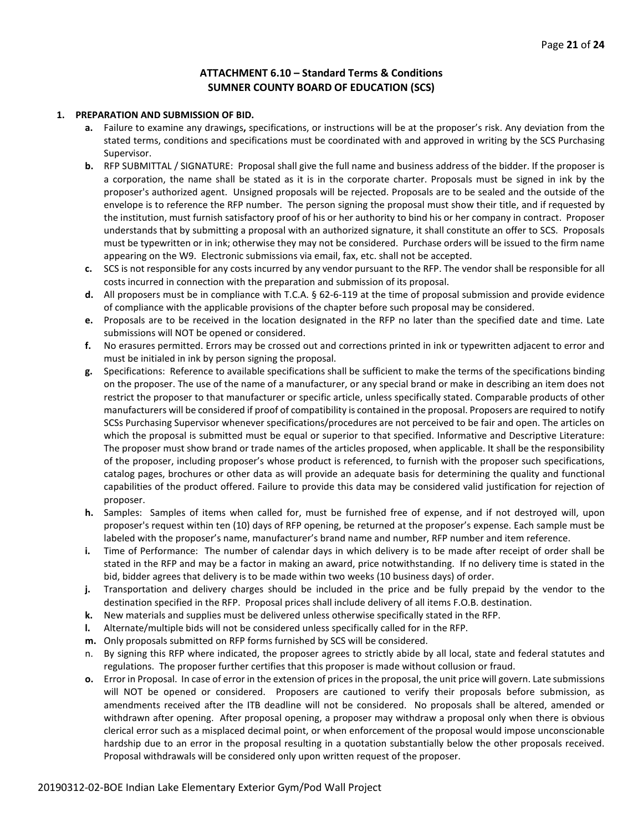#### **ATTACHMENT 6.10 – Standard Terms & Conditions SUMNER COUNTY BOARD OF EDUCATION (SCS)**

#### **1. PREPARATION AND SUBMISSION OF BID.**

- **a.** Failure to examine any drawings**,** specifications, or instructions will be at the proposer's risk. Any deviation from the stated terms, conditions and specifications must be coordinated with and approved in writing by the SCS Purchasing Supervisor.
- **b.** RFP SUBMITTAL / SIGNATURE: Proposal shall give the full name and business address of the bidder. If the proposer is a corporation, the name shall be stated as it is in the corporate charter. Proposals must be signed in ink by the proposer's authorized agent. Unsigned proposals will be rejected. Proposals are to be sealed and the outside of the envelope is to reference the RFP number. The person signing the proposal must show their title, and if requested by the institution, must furnish satisfactory proof of his or her authority to bind his or her company in contract. Proposer understands that by submitting a proposal with an authorized signature, it shall constitute an offer to SCS. Proposals must be typewritten or in ink; otherwise they may not be considered. Purchase orders will be issued to the firm name appearing on the W9. Electronic submissions via email, fax, etc. shall not be accepted.
- **c.** SCS is not responsible for any costs incurred by any vendor pursuant to the RFP. The vendor shall be responsible for all costs incurred in connection with the preparation and submission of its proposal.
- **d.** All proposers must be in compliance with T.C.A. § 62-6-119 at the time of proposal submission and provide evidence of compliance with the applicable provisions of the chapter before such proposal may be considered.
- **e.** Proposals are to be received in the location designated in the RFP no later than the specified date and time. Late submissions will NOT be opened or considered.
- **f.** No erasures permitted. Errors may be crossed out and corrections printed in ink or typewritten adjacent to error and must be initialed in ink by person signing the proposal.
- **g.** Specifications: Reference to available specifications shall be sufficient to make the terms of the specifications binding on the proposer. The use of the name of a manufacturer, or any special brand or make in describing an item does not restrict the proposer to that manufacturer or specific article, unless specifically stated. Comparable products of other manufacturers will be considered if proof of compatibility is contained in the proposal. Proposers are required to notify SCSs Purchasing Supervisor whenever specifications/procedures are not perceived to be fair and open. The articles on which the proposal is submitted must be equal or superior to that specified. Informative and Descriptive Literature: The proposer must show brand or trade names of the articles proposed, when applicable. It shall be the responsibility of the proposer, including proposer's whose product is referenced, to furnish with the proposer such specifications, catalog pages, brochures or other data as will provide an adequate basis for determining the quality and functional capabilities of the product offered. Failure to provide this data may be considered valid justification for rejection of proposer.
- **h.** Samples: Samples of items when called for, must be furnished free of expense, and if not destroyed will, upon proposer's request within ten (10) days of RFP opening, be returned at the proposer's expense. Each sample must be labeled with the proposer's name, manufacturer's brand name and number, RFP number and item reference.
- **i.** Time of Performance: The number of calendar days in which delivery is to be made after receipt of order shall be stated in the RFP and may be a factor in making an award, price notwithstanding. If no delivery time is stated in the bid, bidder agrees that delivery is to be made within two weeks (10 business days) of order.
- **j.** Transportation and delivery charges should be included in the price and be fully prepaid by the vendor to the destination specified in the RFP. Proposal prices shall include delivery of all items F.O.B. destination.
- **k.** New materials and supplies must be delivered unless otherwise specifically stated in the RFP.
- **l.** Alternate/multiple bids will not be considered unless specifically called for in the RFP.
- **m.** Only proposals submitted on RFP forms furnished by SCS will be considered.
- n. By signing this RFP where indicated, the proposer agrees to strictly abide by all local, state and federal statutes and regulations. The proposer further certifies that this proposer is made without collusion or fraud.
- **o.** Error in Proposal. In case of error in the extension of prices in the proposal, the unit price will govern. Late submissions will NOT be opened or considered. Proposers are cautioned to verify their proposals before submission, as amendments received after the ITB deadline will not be considered. No proposals shall be altered, amended or withdrawn after opening. After proposal opening, a proposer may withdraw a proposal only when there is obvious clerical error such as a misplaced decimal point, or when enforcement of the proposal would impose unconscionable hardship due to an error in the proposal resulting in a quotation substantially below the other proposals received. Proposal withdrawals will be considered only upon written request of the proposer.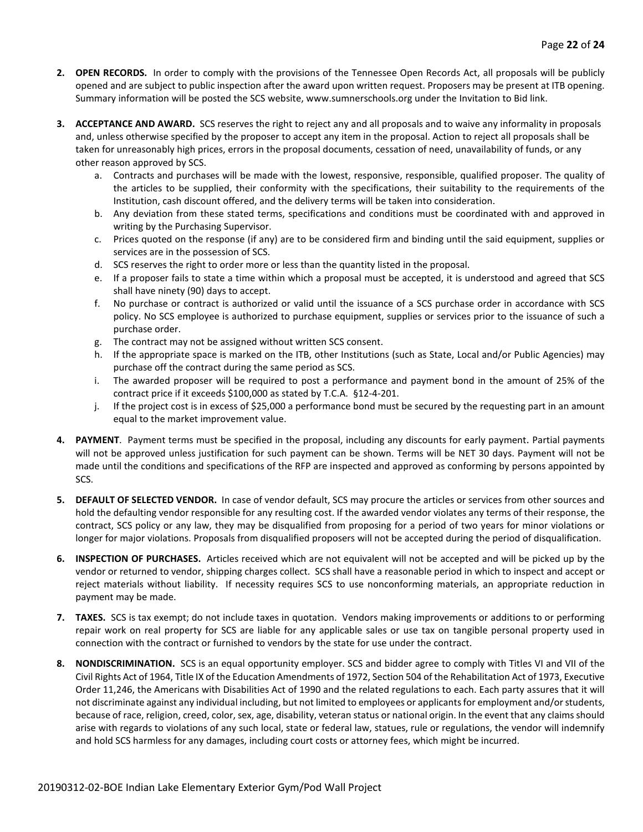- **2. OPEN RECORDS.** In order to comply with the provisions of the Tennessee Open Records Act, all proposals will be publicly opened and are subject to public inspection after the award upon written request. Proposers may be present at ITB opening. Summary information will be posted the SCS website, www.sumnerschools.org under the Invitation to Bid link.
- **3. ACCEPTANCE AND AWARD.** SCS reserves the right to reject any and all proposals and to waive any informality in proposals and, unless otherwise specified by the proposer to accept any item in the proposal. Action to reject all proposals shall be taken for unreasonably high prices, errors in the proposal documents, cessation of need, unavailability of funds, or any other reason approved by SCS.
	- a. Contracts and purchases will be made with the lowest, responsive, responsible, qualified proposer. The quality of the articles to be supplied, their conformity with the specifications, their suitability to the requirements of the Institution, cash discount offered, and the delivery terms will be taken into consideration.
	- b. Any deviation from these stated terms, specifications and conditions must be coordinated with and approved in writing by the Purchasing Supervisor.
	- c. Prices quoted on the response (if any) are to be considered firm and binding until the said equipment, supplies or services are in the possession of SCS.
	- d. SCS reserves the right to order more or less than the quantity listed in the proposal.
	- e. If a proposer fails to state a time within which a proposal must be accepted, it is understood and agreed that SCS shall have ninety (90) days to accept.
	- f. No purchase or contract is authorized or valid until the issuance of a SCS purchase order in accordance with SCS policy. No SCS employee is authorized to purchase equipment, supplies or services prior to the issuance of such a purchase order.
	- g. The contract may not be assigned without written SCS consent.
	- h. If the appropriate space is marked on the ITB, other Institutions (such as State, Local and/or Public Agencies) may purchase off the contract during the same period as SCS.
	- i. The awarded proposer will be required to post a performance and payment bond in the amount of 25% of the contract price if it exceeds \$100,000 as stated by T.C.A. §12-4-201.
	- j. If the project cost is in excess of \$25,000 a performance bond must be secured by the requesting part in an amount equal to the market improvement value.
- **4. PAYMENT**. Payment terms must be specified in the proposal, including any discounts for early payment. Partial payments will not be approved unless justification for such payment can be shown. Terms will be NET 30 days. Payment will not be made until the conditions and specifications of the RFP are inspected and approved as conforming by persons appointed by SCS.
- **5. DEFAULT OF SELECTED VENDOR.** In case of vendor default, SCS may procure the articles or services from other sources and hold the defaulting vendor responsible for any resulting cost. If the awarded vendor violates any terms of their response, the contract, SCS policy or any law, they may be disqualified from proposing for a period of two years for minor violations or longer for major violations. Proposals from disqualified proposers will not be accepted during the period of disqualification.
- **6. INSPECTION OF PURCHASES.** Articles received which are not equivalent will not be accepted and will be picked up by the vendor or returned to vendor, shipping charges collect. SCS shall have a reasonable period in which to inspect and accept or reject materials without liability. If necessity requires SCS to use nonconforming materials, an appropriate reduction in payment may be made.
- **7. TAXES.** SCS is tax exempt; do not include taxes in quotation. Vendors making improvements or additions to or performing repair work on real property for SCS are liable for any applicable sales or use tax on tangible personal property used in connection with the contract or furnished to vendors by the state for use under the contract.
- **8. NONDISCRIMINATION.** SCS is an equal opportunity employer. SCS and bidder agree to comply with Titles VI and VII of the Civil Rights Act of 1964, Title IX of the Education Amendments of 1972, Section 504 of the Rehabilitation Act of 1973, Executive Order 11,246, the Americans with Disabilities Act of 1990 and the related regulations to each. Each party assures that it will not discriminate against any individual including, but not limited to employees or applicants for employment and/or students, because of race, religion, creed, color, sex, age, disability, veteran status or national origin. In the event that any claims should arise with regards to violations of any such local, state or federal law, statues, rule or regulations, the vendor will indemnify and hold SCS harmless for any damages, including court costs or attorney fees, which might be incurred.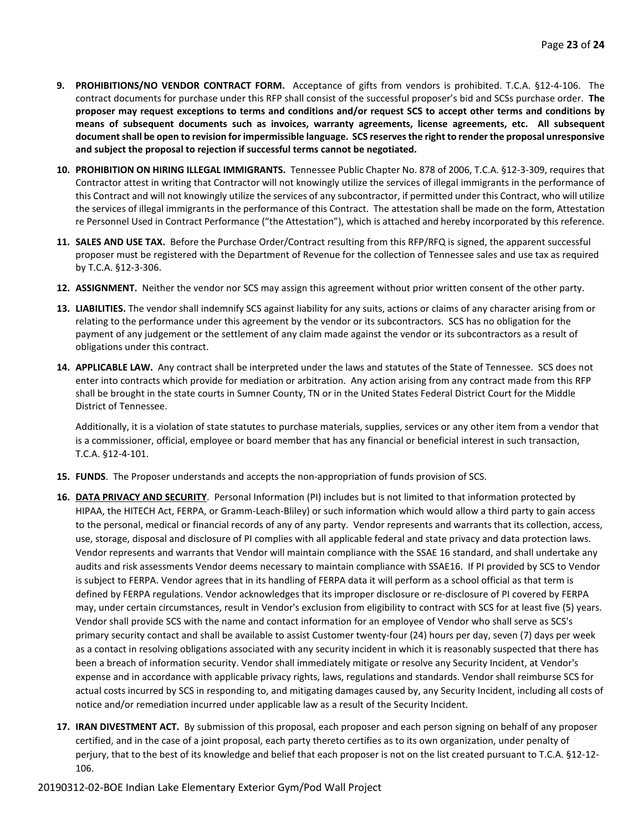- **9. PROHIBITIONS/NO VENDOR CONTRACT FORM.** Acceptance of gifts from vendors is prohibited. T.C.A. §12-4-106. The contract documents for purchase under this RFP shall consist of the successful proposer's bid and SCSs purchase order. **The proposer may request exceptions to terms and conditions and/or request SCS to accept other terms and conditions by means of subsequent documents such as invoices, warranty agreements, license agreements, etc. All subsequent document shall be open to revision for impermissible language. SCS reserves the right to render the proposal unresponsive and subject the proposal to rejection if successful terms cannot be negotiated.**
- **10. PROHIBITION ON HIRING ILLEGAL IMMIGRANTS.** Tennessee Public Chapter No. 878 of 2006, T.C.A. §12-3-309, requires that Contractor attest in writing that Contractor will not knowingly utilize the services of illegal immigrants in the performance of this Contract and will not knowingly utilize the services of any subcontractor, if permitted under this Contract, who will utilize the services of illegal immigrants in the performance of this Contract. The attestation shall be made on the form, Attestation re Personnel Used in Contract Performance ("the Attestation"), which is attached and hereby incorporated by this reference.
- **11. SALES AND USE TAX.** Before the Purchase Order/Contract resulting from this RFP/RFQ is signed, the apparent successful proposer must be registered with the Department of Revenue for the collection of Tennessee sales and use tax as required by T.C.A. §12-3-306.
- **12. ASSIGNMENT.** Neither the vendor nor SCS may assign this agreement without prior written consent of the other party.
- **13. LIABILITIES.** The vendor shall indemnify SCS against liability for any suits, actions or claims of any character arising from or relating to the performance under this agreement by the vendor or its subcontractors. SCS has no obligation for the payment of any judgement or the settlement of any claim made against the vendor or its subcontractors as a result of obligations under this contract.
- **14. APPLICABLE LAW.** Any contract shall be interpreted under the laws and statutes of the State of Tennessee. SCS does not enter into contracts which provide for mediation or arbitration. Any action arising from any contract made from this RFP shall be brought in the state courts in Sumner County, TN or in the United States Federal District Court for the Middle District of Tennessee.

Additionally, it is a violation of state statutes to purchase materials, supplies, services or any other item from a vendor that is a commissioner, official, employee or board member that has any financial or beneficial interest in such transaction, T.C.A. §12-4-101.

- **15. FUNDS**. The Proposer understands and accepts the non-appropriation of funds provision of SCS.
- **16. DATA PRIVACY AND SECURITY**. Personal Information (PI) includes but is not limited to that information protected by HIPAA, the HITECH Act, FERPA, or Gramm-Leach-Bliley) or such information which would allow a third party to gain access to the personal, medical or financial records of any of any party. Vendor represents and warrants that its collection, access, use, storage, disposal and disclosure of PI complies with all applicable federal and state privacy and data protection laws. Vendor represents and warrants that Vendor will maintain compliance with the SSAE 16 standard, and shall undertake any audits and risk assessments Vendor deems necessary to maintain compliance with SSAE16. If PI provided by SCS to Vendor is subject to FERPA. Vendor agrees that in its handling of FERPA data it will perform as a school official as that term is defined by FERPA regulations. Vendor acknowledges that its improper disclosure or re-disclosure of PI covered by FERPA may, under certain circumstances, result in Vendor's exclusion from eligibility to contract with SCS for at least five (5) years. Vendor shall provide SCS with the name and contact information for an employee of Vendor who shall serve as SCS's primary security contact and shall be available to assist Customer twenty-four (24) hours per day, seven (7) days per week as a contact in resolving obligations associated with any security incident in which it is reasonably suspected that there has been a breach of information security. Vendor shall immediately mitigate or resolve any Security Incident, at Vendor's expense and in accordance with applicable privacy rights, laws, regulations and standards. Vendor shall reimburse SCS for actual costs incurred by SCS in responding to, and mitigating damages caused by, any Security Incident, including all costs of notice and/or remediation incurred under applicable law as a result of the Security Incident.
- **17. IRAN DIVESTMENT ACT.** By submission of this proposal, each proposer and each person signing on behalf of any proposer certified, and in the case of a joint proposal, each party thereto certifies as to its own organization, under penalty of perjury, that to the best of its knowledge and belief that each proposer is not on the list created pursuant to T.C.A. §12-12- 106.